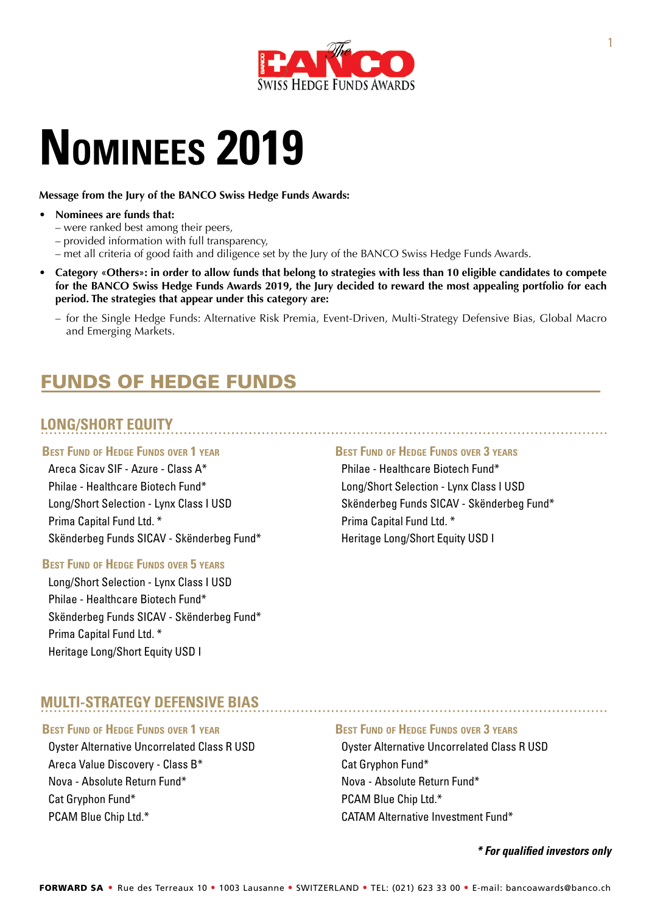

# **Nominees 2019**

**Message from the Jury of the BANCO Swiss Hedge Funds Awards:**

- **• Nominees are funds that:**
	- were ranked best among their peers,
	- provided information with full transparency,
	- met all criteria of good faith and diligence set by the Jury of the BANCO Swiss Hedge Funds Awards.
- Category «Others»: in order to allow funds that belong to strategies with less than 10 eligible candidates to compete for the BANCO Swiss Hedge Funds Awards 2019, the Jury decided to reward the most appealing portfolio for each **period. The strategies that appear under this category are:**
	- for the Single Hedge Funds: Alternative Risk Premia, Event-Driven, Multi-Strategy Defensive Bias, Global Macro and Emerging Markets.

# Funds of Hedge Funds

## **LONG/SHORT EQUITY**

## **Best Fund of Hedge Funds over 1 year**

Areca Sicav SIF - Azure - Class A\* Philae - Healthcare Biotech Fund\* Long/Short Selection - Lynx Class I USD Prima Capital Fund Ltd. \* Skënderbeg Funds SICAV - Skënderbeg Fund\*

## **Best Fund of Hedge Funds over 5 years**

Long/Short Selection - Lynx Class I USD Philae - Healthcare Biotech Fund\* Skënderbeg Funds SICAV - Skënderbeg Fund\* Prima Capital Fund Ltd. \* Heritage Long/Short Equity USD I

### **Best Fund of Hedge Funds over 3 years**

Philae - Healthcare Biotech Fund\* Long/Short Selection - Lynx Class I USD Skënderbeg Funds SICAV - Skënderbeg Fund\* Prima Capital Fund Ltd. \* Heritage Long/Short Equity USD I

## **MULTI-STRATEGY DEFENSIVE BIAS**

## **Best Fund of Hedge Funds over 1 year**

Oyster Alternative Uncorrelated Class R USD Areca Value Discovery - Class B\* Nova - Absolute Return Fund\* Cat Gryphon Fund\* PCAM Blue Chip Ltd.\*

## **Best Fund of Hedge Funds over 3 years**

Oyster Alternative Uncorrelated Class R USD Cat Gryphon Fund\* Nova - Absolute Return Fund\* PCAM Blue Chip Ltd.\* CATAM Alternative Investment Fund\*

*\* For qualified investors only*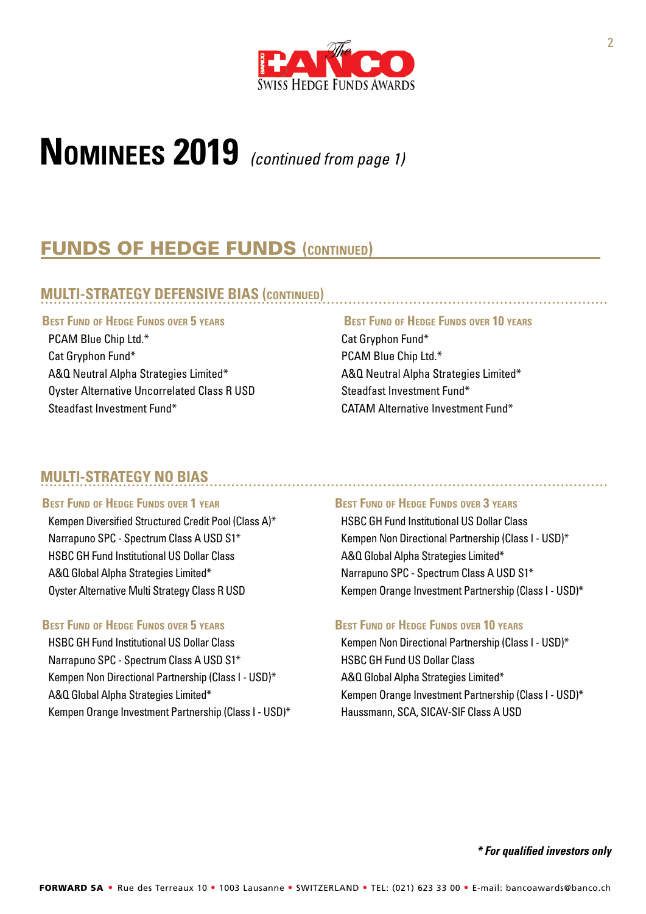

# **Nominees 2019** *(continued from page 1)*

## Funds of Hedge Funds **(continued)**

## **MULTI-STRATEGY DEFENSIVE BIAS (continued)**

## **Best Fund of Hedge Funds over 5 years**

PCAM Blue Chip Ltd.\* Cat Gryphon Fund\* A&Q Neutral Alpha Strategies Limited\* Oyster Alternative Uncorrelated Class R USD Steadfast Investment Fund\*

## **MULTI-STRATEGY NO BIAS**

#### **Best Fund of Hedge Funds over 1 year**

Kempen Diversified Structured Credit Pool (Class A)\* Narrapuno SPC - Spectrum Class A USD S1\* HSBC GH Fund Institutional US Dollar Class A&Q Global Alpha Strategies Limited\* Oyster Alternative Multi Strategy Class R USD

### **Best Fund of Hedge Funds over 5 years**

HSBC GH Fund Institutional US Dollar Class Narrapuno SPC - Spectrum Class A USD S1\* Kempen Non Directional Partnership (Class I - USD)\* A&Q Global Alpha Strategies Limited\* Kempen Orange Investment Partnership (Class I - USD)\*

## **Best Fund of Hedge Funds over 10 years**

Cat Gryphon Fund\* PCAM Blue Chip Ltd.\* A&Q Neutral Alpha Strategies Limited\* Steadfast Investment Fund\* CATAM Alternative Investment Fund\*

## **Best Fund of Hedge Funds over 3 years**

HSBC GH Fund Institutional US Dollar Class Kempen Non Directional Partnership (Class I - USD)\* A&Q Global Alpha Strategies Limited\* Narrapuno SPC - Spectrum Class A USD S1\* Kempen Orange Investment Partnership (Class I - USD)\*

### **Best Fund of Hedge Funds over 10 years**

Kempen Non Directional Partnership (Class I - USD)\* HSBC GH Fund US Dollar Class A&Q Global Alpha Strategies Limited\* Kempen Orange Investment Partnership (Class I - USD)\* Haussmann, SCA, SICAV-SIF Class A USD

#### *\* For qualified investors only*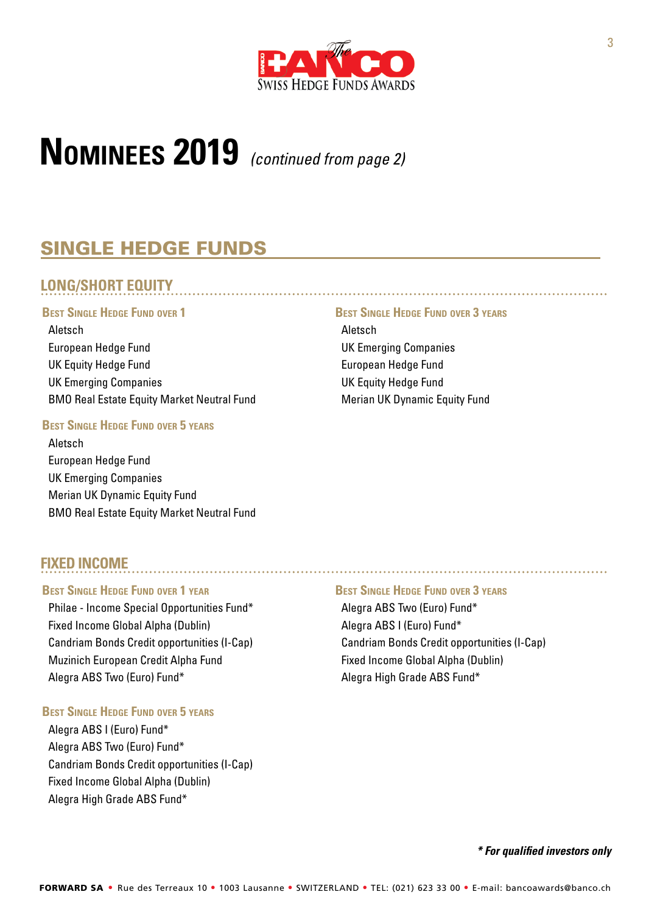

# **Nominees 2019** *(continued from page 2)*

# Single Hedge Funds

## **LONG/SHORT EQUITY**

#### **Best Single Hedge Fund over 1**

Aletsch European Hedge Fund UK Equity Hedge Fund UK Emerging Companies BMO Real Estate Equity Market Neutral Fund

## **Best Single Hedge Fund over 5 years**

Aletsch European Hedge Fund UK Emerging Companies Merian UK Dynamic Equity Fund BMO Real Estate Equity Market Neutral Fund

## **FIXED INCOME**

## **Best Single Hedge Fund over 1 year**

Philae - Income Special Opportunities Fund\* Fixed Income Global Alpha (Dublin) Candriam Bonds Credit opportunities (I-Cap) Muzinich European Credit Alpha Fund Alegra ABS Two (Euro) Fund\*

## **Best Single Hedge Fund over 5 years**

Alegra ABS I (Euro) Fund\* Alegra ABS Two (Euro) Fund\* Candriam Bonds Credit opportunities (I-Cap) Fixed Income Global Alpha (Dublin) Alegra High Grade ABS Fund\*

### **Best Single Hedge Fund over 3 years**

Aletsch UK Emerging Companies European Hedge Fund UK Equity Hedge Fund Merian UK Dynamic Equity Fund

#### **Best Single Hedge Fund over 3 years**

Alegra ABS Two (Euro) Fund\* Alegra ABS I (Euro) Fund\* Candriam Bonds Credit opportunities (I-Cap) Fixed Income Global Alpha (Dublin) Alegra High Grade ABS Fund\*

## *\* For qualified investors only*